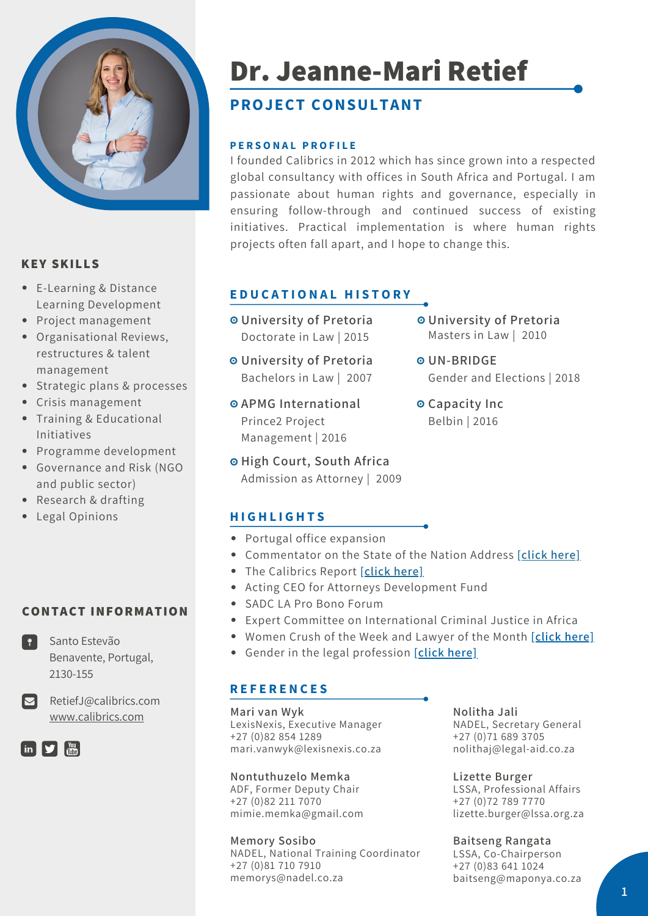

# **KEY SKILLS**

- E-Learning & Distance Learning Development
- Project management
- Organisational Reviews, restructures & talent management
- Strategic plans & processes
- Crisis management
- Training & Educational Initiatives
- Programme development
- Governance and Risk (NGO and public sector)
- Research & drafting
- Legal Opinions

# **CONTACT INFORMATION**

Santo Estevão Benavente, Portugal, 2130-155

RetiefJ@calibrics.com [www.calibrics.com](http://www.calibrics.com/)



# **Dr. Jeanne-Mari Retief**

# **PROJECT CONSULTANT**

#### **P E R S O N A L P R O F I L E**

I founded Calibrics in 2012 which has since grown into a respected global consultancy with offices in South Africa and Portugal. I am passionate about human rights and governance, especially in ensuring follow-through and continued success of existing initiatives. Practical implementation is where human rights projects often fall apart, and I hope to change this.

# **E D U C A T I O N A L H I S T O R Y**

- **University of Pretoria** Doctorate in Law | 2015
- **University of Pretoria** Bachelors in Law | 2007
- **APMG International** Prince2 Project Management | 2016
- **High Court, South Africa** Admission as Attorney | 2009
- **University of Pretoria** Masters in Law | 2010
- **UN-BRIDGE** Gender and Elections | 2018
- **Capacity Inc** Belbin | 2016

# **H I G H L I G H T S**

- Portugal office expansion
- Commentator on the State of the Nation Address **[\[click](https://video.wixstatic.com/video/f072a2_e3060cbe8327422a90c9ec50b7e4dbea/360p/mp4/file.mp4) here]**
- The Calibrics Report **[\[click](https://www.youtube.com/channel/UCWNmnBiYoE4yPCAn2TAFmDg?view_as=subscriber) here]**
- Acting CEO for Attorneys Development Fund
- SADC LA Pro Bono Forum
- Expert Committee on International Criminal Justice in Africa
- Women Crush of the Week and Lawyer of the Month **[\[click](https://www.youtube.com/watch?v=Nf0C76JvQD4) here]**
- Gender in the legal profession **[\[click](https://www.africa-legal.com/news-detail/slow-progress-but-women-in-law-making-the-climb/) here]**

# **R E F E R E N C E S**

**Mari van Wyk** LexisNexis, Executive Manager +27 (0)82 854 1289 mari.vanwyk@lexisnexis.co.za

#### **Nontuthuzelo Memka**

ADF, Former Deputy Chair +27 (0)82 211 7070 mimie.memka@gmail.com

**Memory Sosibo** NADEL, National Training Coordinator +27 (0)81 710 7910 memorys@nadel.co.za

**Nolitha Jali** NADEL, Secretary General +27 (0)71 689 3705 nolithaj@legal-aid.co.za

**Lizette Burger** LSSA, Professional Affairs +27 (0)72 789 7770 lizette.burger@lssa.org.za

**Baitseng Rangata** LSSA, Co-Chairperson +27 (0)83 641 1024 baitseng@maponya.co.za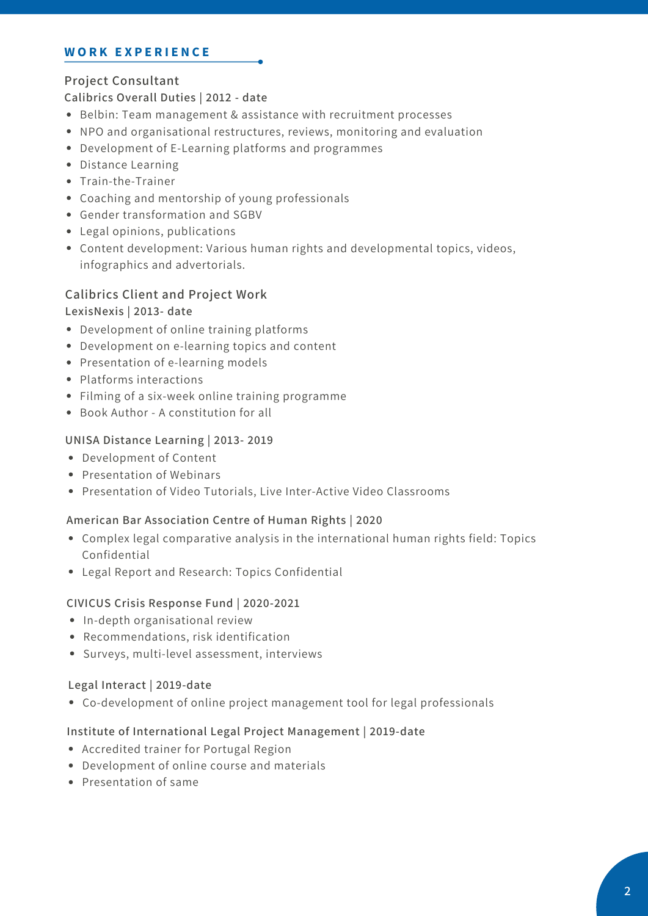#### **W O R K E X P E R I E N C E**

# **Project Consultant**

#### **Calibrics Overall Duties | 2012 - date**

- Belbin: Team management & assistance with recruitment processes
- NPO and organisational restructures, reviews, monitoring and evaluation
- Development of E-Learning platforms and programmes
- Distance Learning
- Train-the-Trainer
- Coaching and mentorship of young professionals
- Gender transformation and SGBV
- Legal opinions, publications
- Content development: Various human rights and developmental topics, videos, infographics and advertorials.

#### **Calibrics Client and Project Work**

#### **LexisNexis | 2013- date**

- Development of online training platforms
- Development on e-learning topics and content
- Presentation of e-learning models
- Platforms interactions
- Filming of a six-week online training programme
- Book Author A constitution for all

#### **UNISA Distance Learning | 2013- 2019**

- Development of Content
- Presentation of Webinars
- Presentation of Video Tutorials, Live Inter-Active Video Classrooms

#### **American Bar Association Centre of Human Rights | 2020**

- Complex legal comparative analysis in the international human rights field: Topics Confidential
- Legal Report and Research: Topics Confidential

#### **CIVICUS Crisis Response Fund | 2020-2021**

- In-depth organisational review
- Recommendations, risk identification
- Surveys, multi-level assessment, interviews

#### **Legal Interact | 2019-date**

Co-development of online project management tool for legal professionals

#### **Institute of International Legal Project Management | 2019-date**

- Accredited trainer for Portugal Region
- Development of online course and materials
- Presentation of same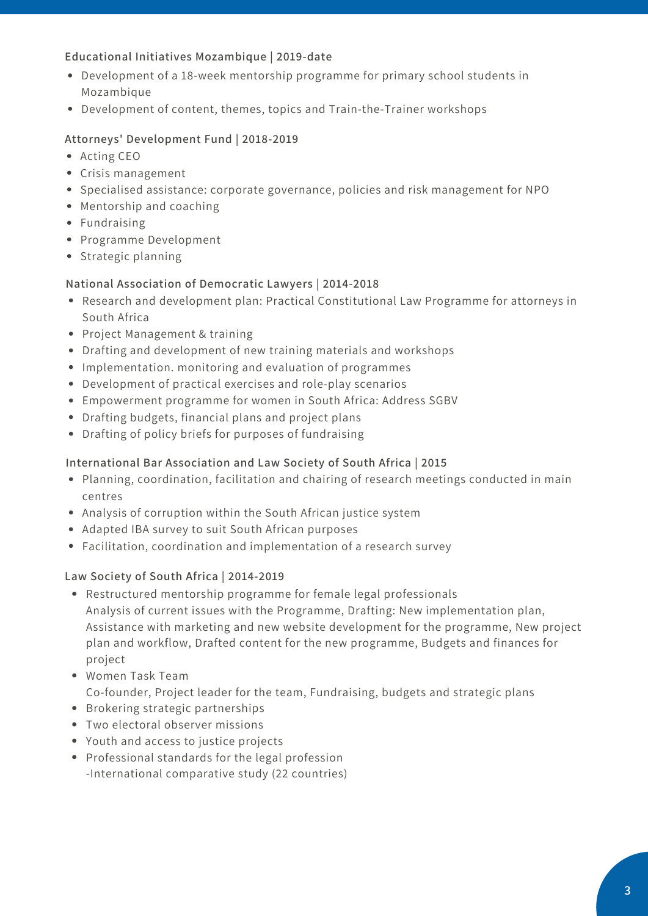#### **Educational Initiatives Mozambique | 2019-date**

- Development of a 18-week mentorship programme for primary school students in Mozambique
- Development of content, themes, topics and Train-the-Trainer workshops

# **Attorneys' Development Fund | 2018-2019**

- Acting CEO
- Crisis management
- Specialised assistance: corporate governance, policies and risk management for NPO
- Mentorship and coaching
- Fundraising
- Programme Development
- Strategic planning

# **National Association of Democratic Lawyers | 2014-2018**

- Research and development plan: Practical Constitutional Law Programme for attorneys in South Africa
- Project Management & training
- Drafting and development of new training materials and workshops
- Implementation. monitoring and evaluation of programmes
- Development of practical exercises and role-play scenarios
- Empowerment programme for women in South Africa: Address SGBV
- Drafting budgets, financial plans and project plans
- Drafting of policy briefs for purposes of fundraising

### **International Bar Association and Law Society of South Africa | 2015**

- Planning, coordination, facilitation and chairing of research meetings conducted in main centres
- Analysis of corruption within the South African justice system
- Adapted IBA survey to suit South African purposes
- Facilitation, coordination and implementation of a research survey

# **Law Society of South Africa | 2014-2019**

- Restructured mentorship programme for female legal professionals Analysis of current issues with the Programme, Drafting: New implementation plan, Assistance with marketing and new website development for the programme, New project plan and workflow, Drafted content for the new programme, Budgets and finances for project
- Women Task Team Co-founder, Project leader for the team, Fundraising, budgets and strategic plans
- Brokering strategic partnerships
- Two electoral observer missions
- Youth and access to justice projects
- Professional standards for the legal profession -International comparative study (22 countries)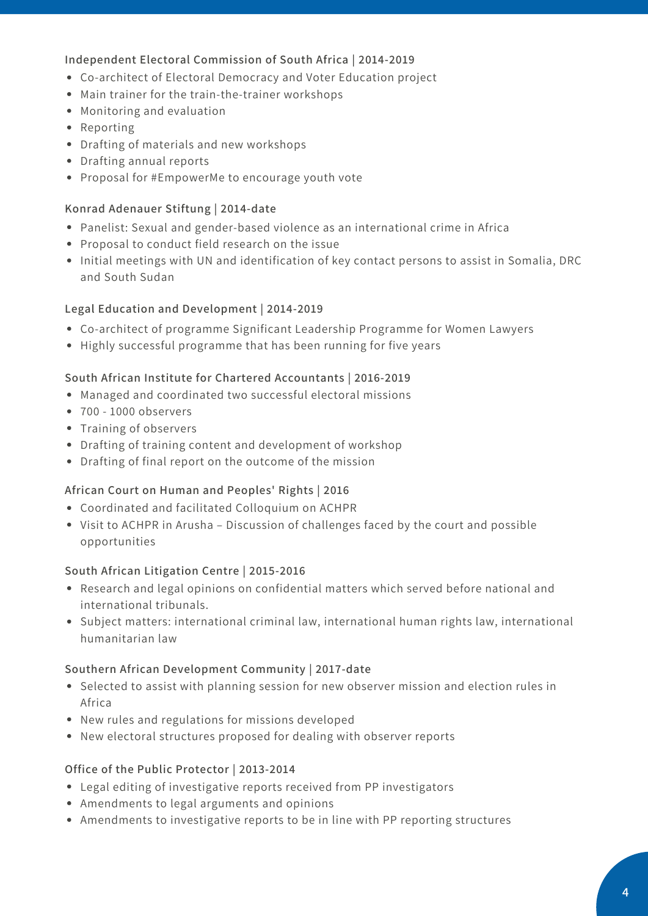# **Independent Electoral Commission of South Africa | 2014-2019**

- Co-architect of Electoral Democracy and Voter Education project
- Main trainer for the train-the-trainer workshops
- Monitoring and evaluation
- Reporting
- Drafting of materials and new workshops
- Drafting annual reports
- Proposal for #EmpowerMe to encourage youth vote

### **Konrad Adenauer Stiftung | 2014-date**

- Panelist: Sexual and gender-based violence as an international crime in Africa
- Proposal to conduct field research on the issue
- Initial meetings with UN and identification of key contact persons to assist in Somalia, DRC and South Sudan

# **Legal Education and Development | 2014-2019**

- Co-architect of programme Significant Leadership Programme for Women Lawyers
- Highly successful programme that has been running for five years

#### **South African Institute for Chartered Accountants | 2016-2019**

- Managed and coordinated two successful electoral missions
- 700 1000 observers
- Training of observers
- Drafting of training content and development of workshop
- Drafting of final report on the outcome of the mission

#### **African Court on Human and Peoples' Rights | 2016**

- Coordinated and facilitated Colloquium on ACHPR
- Visit to ACHPR in Arusha Discussion of challenges faced by the court and possible opportunities

#### **South African Litigation Centre | 2015-2016**

- Research and legal opinions on confidential matters which served before national and international tribunals.
- Subject matters: international criminal law, international human rights law, international humanitarian law

#### **Southern African Development Community | 2017-date**

- Selected to assist with planning session for new observer mission and election rules in Africa
- New rules and regulations for missions developed
- New electoral structures proposed for dealing with observer reports

#### **Office of the Public Protector | 2013-2014**

- Legal editing of investigative reports received from PP investigators
- Amendments to legal arguments and opinions
- Amendments to investigative reports to be in line with PP reporting structures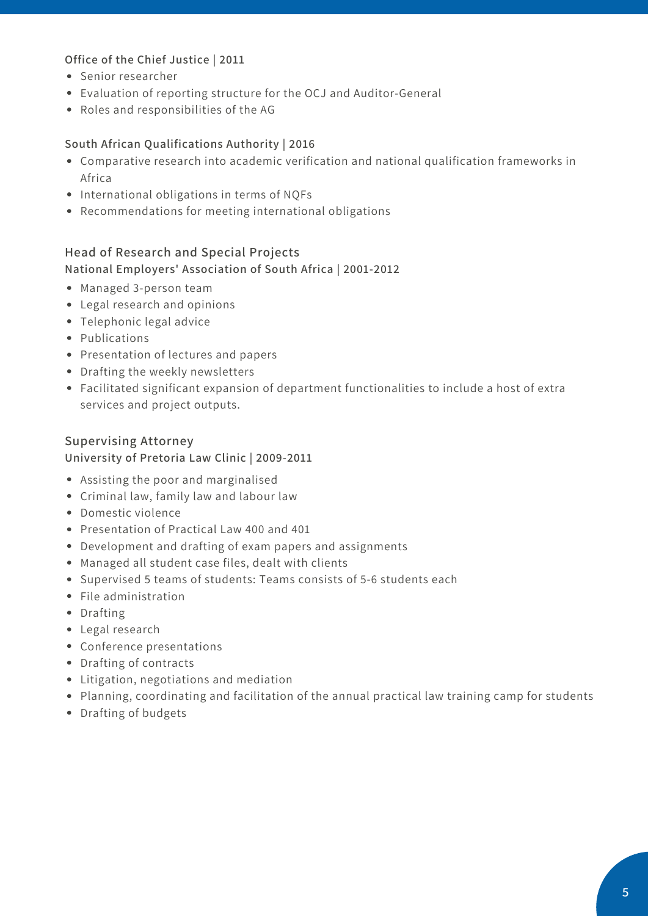# **Office of the Chief Justice | 2011**

- Senior researcher
- Evaluation of reporting structure for the OCJ and Auditor-General
- Roles and responsibilities of the AG

#### **South African Qualifications Authority | 2016**

- Comparative research into academic verification and national qualification frameworks in Africa
- International obligations in terms of NQFs
- Recommendations for meeting international obligations

#### **Head of Research and Special Projects**

#### **National Employers' Association of South Africa | 2001-2012**

- Managed 3-person team
- Legal research and opinions
- Telephonic legal advice
- Publications
- Presentation of lectures and papers
- Drafting the weekly newsletters
- Facilitated significant expansion of department functionalities to include a host of extra services and project outputs.

### **Supervising Attorney University of Pretoria Law Clinic | 2009-2011**

- Assisting the poor and marginalised
- Criminal law, family law and labour law
- Domestic violence
- Presentation of Practical Law 400 and 401
- Development and drafting of exam papers and assignments
- Managed all student case files, dealt with clients
- Supervised 5 teams of students: Teams consists of 5-6 students each
- File administration
- Drafting
- Legal research
- Conference presentations
- Drafting of contracts
- Litigation, negotiations and mediation
- Planning, coordinating and facilitation of the annual practical law training camp for students
- Drafting of budgets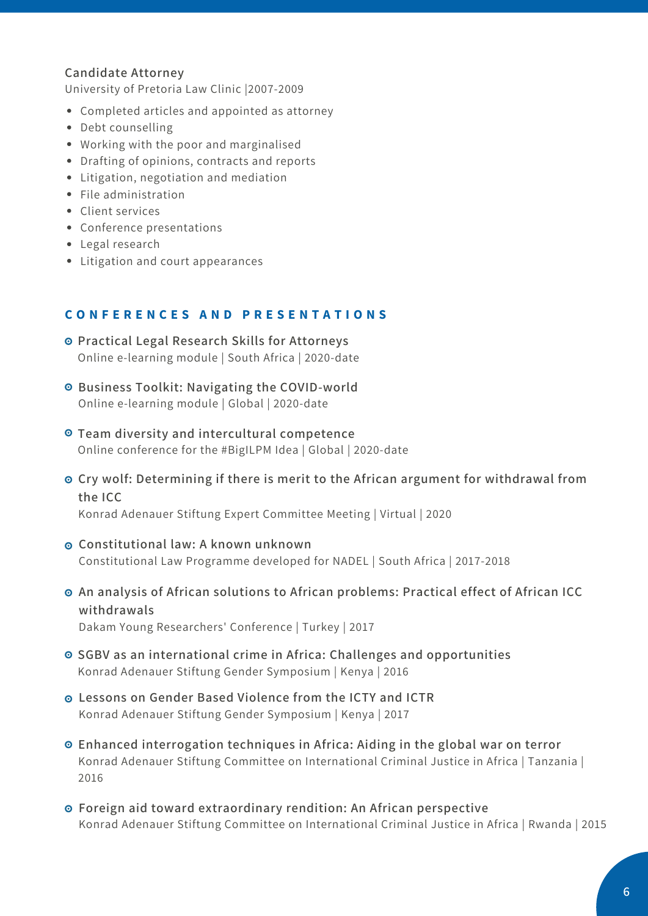#### **Candidate Attorney**

University of Pretoria Law Clinic |2007-2009

- Completed articles and appointed as attorney
- Debt counselling
- Working with the poor and marginalised
- Drafting of opinions, contracts and reports
- Litigation, negotiation and mediation
- File administration
- Client services
- Conference presentations
- Legal research
- Litigation and court appearances

#### CONFERENCES AND PRESENTATIONS

- **Practical Legal Research Skills for Attorneys** Online e-learning module | South Africa | 2020-date
- **Business Toolkit: Navigating the COVID-world** Online e-learning module | Global | 2020-date
- **Team diversity and intercultural competence** Online conference for the #BigILPM Idea | Global | 2020-date
- **Cry wolf: Determining if there is merit to the African argument for withdrawal from the ICC**

Konrad Adenauer Stiftung Expert Committee Meeting | Virtual | 2020

- **Constitutional law: A known unknown** Constitutional Law Programme developed for NADEL | South Africa | 2017-2018
- **An analysis of African solutions to African problems: Practical effect of African ICC withdrawals** Dakam Young Researchers' Conference | Turkey | 2017
- **SGBV as an international crime in Africa: Challenges and opportunities** Konrad Adenauer Stiftung Gender Symposium | Kenya | 2016
- **Lessons on Gender Based Violence from the ICTY and ICTR** Konrad Adenauer Stiftung Gender Symposium | Kenya | 2017
- **Enhanced interrogation techniques in Africa: Aiding in the global war on terror** Konrad Adenauer Stiftung Committee on International Criminal Justice in Africa | Tanzania | 2016
- **Foreign aid toward extraordinary rendition: An African perspective** Konrad Adenauer Stiftung Committee on International Criminal Justice in Africa | Rwanda | 2015